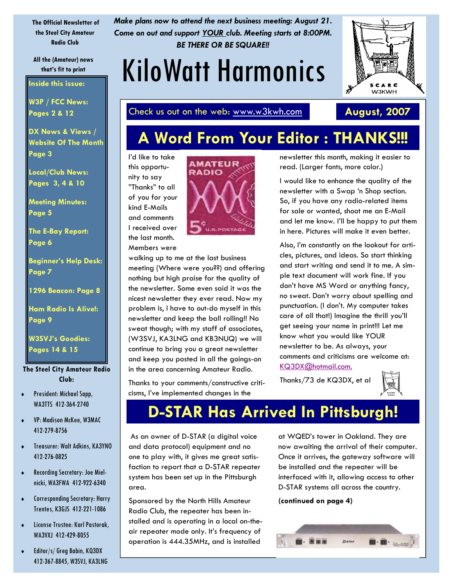**The Official Newsletter of the Steel City Amateur Radio Club** 

**All the (Amateur) news** 

**Inside this issue:** 

**W3P / FCC News: Pages 2 & 12** 

**DX News & Views / Website Of The Month Page 3** 

**Local/Club News: Pages 3, 4 & 10** 

**Meeting Minutes: Page 5** 

**The E-Bay Report: Page 6** 

**Beginner's Help Desk: Page 7** 

**1296 Beacon: Page 8** 

**Ham Radio Is Alive!: Page 9** 

**W3SVJ's Goodies: Pages 14 & 15** 

**The Steel City Amateur Radio Club:** 

- ♦ President: Michael Sapp, WA3TTS 412-364-2740
- ♦ VP: Madison McKee, W3MAC 412-279-8756
- ♦ Treasurer: Walt Adkins, KA3YNO 412-276-0825
- ♦ Recording Secretary: Joe Mielnicki, WA3FWA 412-922-6340
- ♦ Corresponding Secretary: Harry Trentes, K3GJS 412-221-1086
- License Trustee: Karl Pastorak, WA3VXJ 412-429-8055
- ♦ Editor/s/ Greg Babin, KQ3DX 412-367-8845, W3SVJ, KA3LNG

*Make plans now to attend the next business meeting: August 21. Come on out and support YOUR club. Meeting starts at 8:00PM. BE THERE OR BE SQUARE!!* 

# that's fit to print **KiloWatt Harmonics**

SCARC **W3KWH** 

Check us out on the web: www.w3kwh.com **August, 2007** 

# **A Word From Your Editor : THANKS!!!**

I'd like to take this opportunity to say "Thanks" to all of you for your kind E-Mails and comments I received over the last month.

Members were



walking up to me at the last business meeting (Where were you??) and offering nothing but high praise for the quality of the newsletter. Some even said it was the nicest newsletter they ever read. Now my problem is, I have to out-do myself in this newsletter and keep the ball rolling!! No sweat though; with my staff of associates, (W3SVJ, KA3LNG and KB3NUQ) we will continue to bring you a great newsletter and keep you posted in all the goings-on in the area concerning Amateur Radio.

Thanks to your comments/constructive criticisms, I've implemented changes in the

newsletter this month, making it easier to read. (Larger fonts, more color.)

I would like to enhance the quality of the newsletter with a Swap 'n Shop section. So, if you have any radio-related items for sale or wanted, shoot me an E-Mail and let me know. I'll be happy to put them in here. Pictures will make it even better.

Also, I'm constantly on the lookout for articles, pictures, and ideas. So start thinking and start writing and send it to me. A simple text document will work fine. If you don't have MS Word or anything fancy, no sweat. Don't worry about spelling and punctuation. (I don't. My computer takes care of all that!) Imagine the thrill you'll get seeing your name in print!!! Let me know what you would like YOUR newsletter to be. As always, your comments and criticisms are welcome at: KQ3DX@hotmail.com.

Thanks/73 de KQ3DX, et al



# **D-STAR Has Arrived In Pittsburgh!**

As an owner of D-STAR (a digital voice and data protocol) equipment and no one to play with, it gives me great satisfaction to report that a D-STAR repeater system has been set up in the Pittsburgh area.

Sponsored by the North Hills Amateur Radio Club, the repeater has been installed and is operating in a local on-theair repeater mode only. It's frequency of operation is 444.35MHz, and is installed

at WQED's tower in Oakland. They are now awaiting the arrival of their computer. Once it arrives, the gateway software will be installed and the repeater will be interfaced with it, allowing access to other D-STAR systems all across the country.

#### **(continued on page 4)**

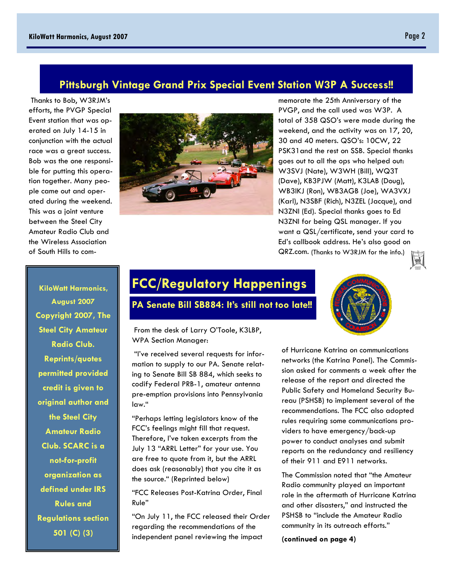### **Pittsburgh Vintage Grand Prix Special Event Station W3P A Success!!**

Thanks to Bob, W3RJM's efforts, the PVGP Special Event station that was operated on July 14-15 in conjunction with the actual race was a great success. Bob was the one responsible for putting this operation together. Many people came out and operated during the weekend. This was a joint venture between the Steel City Amateur Radio Club and the Wireless Association of South Hills to com-



memorate the 25th Anniversary of the PVGP, and the call used was W3P. A total of 358 QSO's were made during the weekend, and the activity was on 17, 20, 30 and 40 meters. QSO's: 10CW, 22 PSK31and the rest on SSB. Special thanks goes out to all the ops who helped out: W3SVJ (Nate), W3WH (Bill), WQ3T (Dave), KB3PJW (Matt), K3LAB (Doug), WB3IKJ (Ron), WB3AGB (Joe), WA3VXJ (Karl), N3SBF (Rich), N3ZEL (Jacque), and N3ZNI (Ed). Special thanks goes to Ed N3ZNI for being QSL manager. If you want a QSL/certificate, send your card to Ed's callbook address. He's also good on QRZ.com. (Thanks to W3RJM for the info.)



**KiloWatt Harmonics, August 2007 Copyright 2007, The Steel City Amateur Radio Club. Reprints/quotes permitted provided credit is given to original author and the Steel City Amateur Radio Club. SCARC is a not-for-profit organization as defined under IRS Rules and Regulations section 501 (C) (3)** 

### **FCC/Regulatory Happenings**

#### **PA Senate Bill SB884: It's still not too late!!**

 From the desk of Larry O'Toole, K3LBP, WPA Section Manager:

 "I've received several requests for information to supply to our PA. Senate relating to Senate Bill SB 884, which seeks to codify Federal PRB-1, amateur antenna pre-emption provisions into Pennsylvania law."

"Perhaps letting legislators know of the FCC's feelings might fill that request. Therefore, I've taken excerpts from the July 13 "ARRL Letter" for your use. You are free to quote from it, but the ARRL does ask (reasonably) that you cite it as the source." (Reprinted below)

"FCC Releases Post-Katrina Order, Final Rule"

"On July 11, the FCC released their Order regarding the recommendations of the independent panel reviewing the impact

of Hurricane Katrina on communications networks (the Katrina Panel). The Commission asked for comments a week after the release of the report and directed the Public Safety and Homeland Security Bureau (PSHSB) to implement several of the recommendations. The FCC also adopted rules requiring some communications providers to have emergency/back-up power to conduct analyses and submit reports on the redundancy and resiliency of their 911 and E911 networks.

The Commission noted that "the Amateur Radio community played an important role in the aftermath of Hurricane Katrina and other disasters," and instructed the PSHSB to "include the Amateur Radio community in its outreach efforts."

**(continued on page 4)**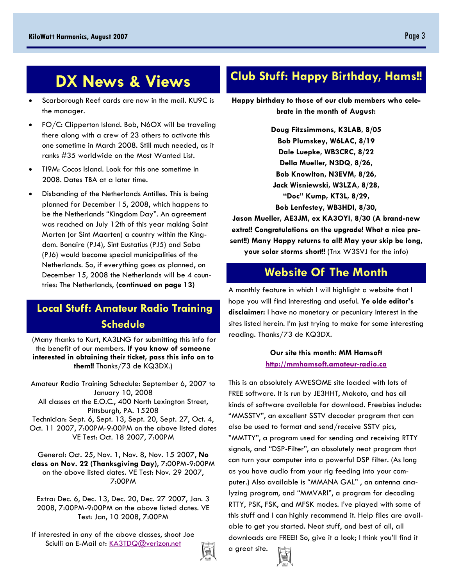## **DX News & Views**

- Scarborough Reef cards are now in the mail. KU9C is the manager.
- FO/C: Clipperton Island. Bob, N6OX will be traveling there along with a crew of 23 others to activate this one sometime in March 2008. Still much needed, as it ranks #35 worldwide on the Most Wanted List.
- TI9M: Cocos Island. Look for this one sometime in 2008. Dates TBA at a later time.
- Disbanding of the Netherlands Antilles. This is being planned for December 15, 2008, which happens to be the Netherlands "Kingdom Day". An agreement was reached on July 12th of this year making Saint Marten (or Sint Maarten) a country within the Kingdom. Bonaire (PJ4), Sint Eustatius (PJ5) and Saba (PJ6) would become special municipalities of the Netherlands. So, if everything goes as planned, on December 15, 2008 the Netherlands will be 4 countries: The Netherlands, **(continued on page 13)**

### **Local Stuff: Amateur Radio Training Schedule**

(Many thanks to Kurt, KA3LNG for submitting this info for the benefit of our members. **If you know of someone interested in obtaining their ticket, pass this info on to them!!** Thanks/73 de KQ3DX.)

Amateur Radio Training Schedule: September 6, 2007 to January 10, 2008 All classes at the E.O.C., 400 North Lexington Street, Pittsburgh, PA. 15208 Technician: Sept. 6, Sept. 13, Sept. 20, Sept. 27, Oct. 4, Oct. 11 2007, 7:00PM-9:00PM on the above listed dates VE Test: Oct. 18 2007, 7:00PM

General: Oct. 25, Nov. 1, Nov. 8, Nov. 15 2007, **No class on Nov. 22 (Thanksgiving Day)**, 7:00PM-9:00PM on the above listed dates. VE Test: Nov. 29 2007, 7:00PM

Extra: Dec. 6, Dec. 13, Dec. 20, Dec. 27 2007, Jan. 3 2008, 7:00PM-9:00PM on the above listed dates. VE Test: Jan, 10 2008, 7:00PM

If interested in any of the above classes, shoot Joe Sciulli an E-Mail at: KA3TDQ@verizon.net



### **Club Stuff: Happy Birthday, Hams!!**

**Happy birthday to those of our club members who celebrate in the month of August:** 

> **Doug Fitzsimmons, K3LAB, 8/05 Bob Plumskey, W6LAC, 8/19 Dale Luepke, WB3CRC, 8/22 Della Mueller, N3DQ, 8/26, Bob Knowlton, N3EVM, 8/26, Jack Wisniewski, W3LZA, 8/28, "Doc" Kump, KT3L, 8/29, Bob Lenfestey, WB3HDI, 8/30,**

**Jason Mueller, AE3JM, ex KA3OYI, 8/30 (A brand-new extra!! Congratulations on the upgrade! What a nice present!!) Many Happy returns to all! May your skip be long, your solar storms short!!** (Tnx W3SVJ for the info)

### **Website Of The Month**

A monthly feature in which I will highlight a website that I hope you will find interesting and useful. **Ye olde editor's disclaimer:** I have no monetary or pecuniary interest in the sites listed herein. I'm just trying to make for some interesting reading. Thanks/73 de KQ3DX.

#### **Our site this month: MM Hamsoft http://mmhamsoft.amateur-radio.ca**

This is an absolutely AWESOME site loaded with lots of FREE software. It is run by JE3HHT, Makoto, and has all kinds of software available for download. Freebies include: "MMSSTV", an excellent SSTV decoder program that can also be used to format and send/receive SSTV pics, "MMTTY", a program used for sending and receiving RTTY signals, and "DSP-Filter", an absolutely neat program that can turn your computer into a powerful DSP filter. (As long as you have audio from your rig feeding into your computer.) Also available is "MMANA GAL" , an antenna analyzing program, and "MMVARI", a program for decoding RTTY, PSK, FSK, and MFSK modes. I've played with some of this stuff and I can highly recommend it. Help files are available to get you started. Neat stuff, and best of all, all downloads are FREE!! So, give it a look; I think you'll find it

a great site.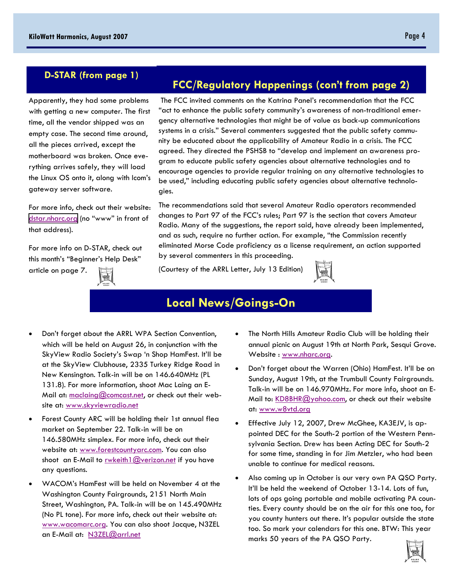### **D-STAR (from page 1)**

Apparently, they had some problems with getting a new computer. The first time, all the vendor shipped was an empty case. The second time around, all the pieces arrived, except the motherboard was broken. Once everything arrives safely, they will load the Linux OS onto it, along with Icom's gateway server software.

For more info, check out their website: [dstar.nharc.org](http://dstar.nharc.org) (no "www" in front of that address).

For more info on D-STAR, check out this month's "Beginner's Help Desk" article on page 7.

### **FCC/Regulatory Happenings (con't from page 2)**

The FCC invited comments on the Katrina Panel's recommendation that the FCC "act to enhance the public safety community's awareness of non-traditional emergency alternative technologies that might be of value as back-up communications systems in a crisis." Several commenters suggested that the public safety community be educated about the applicability of Amateur Radio in a crisis. The FCC agreed. They directed the PSHSB to "develop and implement an awareness program to educate public safety agencies about alternative technologies and to encourage agencies to provide regular training on any alternative technologies to be used," including educating public safety agencies about alternative technologies.

The recommendations said that several Amateur Radio operators recommended changes to Part 97 of the FCC's rules; Part 97 is the section that covers Amateur Radio. Many of the suggestions, the report said, have already been implemented, and as such, require no further action. For example, "the Commission recently eliminated Morse Code proficiency as a license requirement, an action supported by several commenters in this proceeding.

(Courtesy of the ARRL Letter, July 13 Edition)



### **Local News/Goings-On**

- Don't forget about the ARRL WPA Section Convention, which will be held on August 26, in conjunction with the SkyView Radio Society's Swap 'n Shop HamFest. It'll be at the SkyView Clubhouse, 2335 Turkey Ridge Road in New Kensington. Talk-in will be on 146.640MHz (PL 131.8). For more information, shoot Mac Laing an E-Mail at: maclaing@comcast.net, or check out their website at: www.skyviewradio.net
- Forest County ARC will be holding their 1st annual flea market on September 22. Talk-in will be on 146.580MHz simplex. For more info, check out their website at: www.forestcountyarc.com. You can also shoot an E-Mail to rwkeith1@verizon.net if you have any questions.
- WACOM's HamFest will be held on November 4 at the Washington County Fairgrounds, 2151 North Main Street, Washington, PA. Talk-in will be on 145.490MHz (No PL tone). For more info, check out their website at: www.wacomarc.org. You can also shoot Jacque, N3ZEL an E-Mail at: N3ZEL@arrl.net
- The North Hills Amateur Radio Club will be holding their annual picnic on August 19th at North Park, Sesqui Grove. Website : www.nharc.org.
- Don't forget about the Warren (Ohio) HamFest. It'll be on Sunday, August 19th, at the Trumbull County Fairgrounds. Talk-in will be on 146.970MHz. For more info, shoot an E-Mail to: KD8BHR@yahoo.com, or check out their website at: www.w8vtd.org
- Effective July 12, 2007, Drew McGhee, KA3EJV, is appointed DEC for the South-2 portion of the Western Pennsylvania Section. Drew has been Acting DEC for South-2 for some time, standing in for Jim Metzler, who had been unable to continue for medical reasons.
- Also coming up in October is our very own PA QSO Party. It'll be held the weekend of October 13-14. Lots of fun, lots of ops going portable and mobile activating PA counties. Every county should be on the air for this one too, for you county hunters out there. It's popular outside the state too. So mark your calendars for this one. BTW: This year marks 50 years of the PA QSO Party.

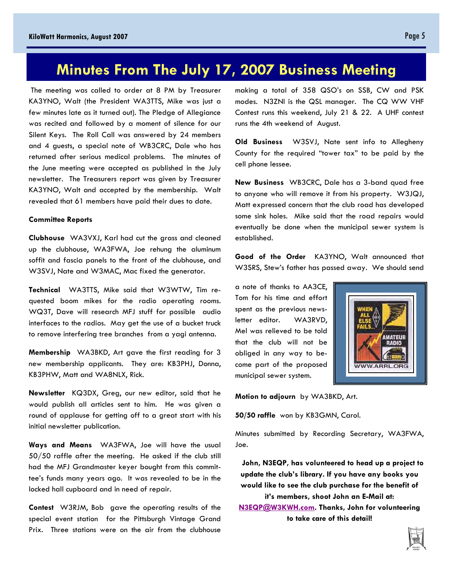### **Minutes From The July 17, 2007 Business Meeting**

The meeting was called to order at 8 PM by Treasurer KA3YNO, Walt (the President WA3TTS, Mike was just a few minutes late as it turned out). The Pledge of Allegiance was recited and followed by a moment of silence for our Silent Keys. The Roll Call was answered by 24 members and 4 guests, a special note of WB3CRC, Dale who has returned after serious medical problems. The minutes of the June meeting were accepted as published in the July newsletter. The Treasurers report was given by Treasurer KA3YNO, Walt and accepted by the membership. Walt revealed that 61 members have paid their dues to date.

#### **Committee Reports**

**Clubhouse** WA3VXJ, Karl had cut the grass and cleaned up the clubhouse, WA3FWA, Joe rehung the aluminum soffit and fascia panels to the front of the clubhouse, and W3SVJ, Nate and W3MAC, Mac fixed the generator.

**Technical** WA3TTS, Mike said that W3WTW, Tim requested boom mikes for the radio operating rooms. WQ3T, Dave will research MFJ stuff for possible audio interfaces to the radios. May get the use of a bucket truck to remove interfering tree branches from a yagi antenna.

**Membership** WA3BKD, Art gave the first reading for 3 new membership applicants. They are: KB3PHJ, Donna, KB3PHW, Matt and WA8NLX, Rick.

**Newsletter** KQ3DX, Greg, our new editor, said that he would publish all articles sent to him. He was given a round of applause for getting off to a great start with his initial newsletter publication.

**Ways and Means** WA3FWA, Joe will have the usual 50/50 raffle after the meeting. He asked if the club still had the MFJ Grandmaster keyer bought from this committee's funds many years ago. It was revealed to be in the locked hall cupboard and in need of repair.

**Contest** W3RJM, Bob gave the operating results of the special event station for the Pittsburgh Vintage Grand Prix. Three stations were on the air from the clubhouse

making a total of 358 QSO's on SSB, CW and PSK modes. N3ZNI is the QSL manager. The CQ WW VHF Contest runs this weekend, July 21 & 22. A UHF contest runs the 4th weekend of August.

**Old Business** W3SVJ, Nate sent info to Allegheny County for the required "tower tax" to be paid by the cell phone lessee.

**New Business** WB3CRC, Dale has a 3-band quad free to anyone who will remove it from his property. W3JQJ, Matt expressed concern that the club road has developed some sink holes. Mike said that the road repairs would eventually be done when the municipal sewer system is established.

**Good of the Order** KA3YNO, Walt announced that W3SRS, Stew's father has passed away. We should send

a note of thanks to AA3CE, Tom for his time and effort spent as the previous newsletter editor. WA3RVD, Mel was relieved to be told that the club will not be obliged in any way to become part of the proposed municipal sewer system.



**Motion to adjourn** by WA3BKD, Art.

**50/50 raffle** won by KB3GMN, Carol.

Minutes submitted by Recording Secretary, WA3FWA, Joe.

 **John, N3EQP, has volunteered to head up a project to update the club's library. If you have any books you would like to see the club purchase for the benefit of it's members, shoot John an E-Mail at:** 

**N3EQP@W3KWH.com. Thanks, John for volunteering to take care of this detail!** 

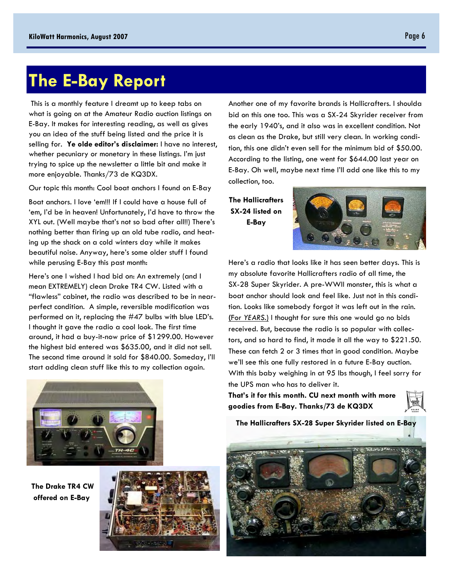# **The E-Bay Report**

This is a monthly feature I dreamt up to keep tabs on what is going on at the Amateur Radio auction listings on E-Bay. It makes for interesting reading, as well as gives you an idea of the stuff being listed and the price it is selling for. **Ye olde editor's disclaimer:** I have no interest, whether pecuniary or monetary in these listings. I'm just trying to spice up the newsletter a little bit and make it more enjoyable. Thanks/73 de KQ3DX.

Our topic this month: Cool boat anchors I found on E-Bay

Boat anchors. I love 'em!!! If I could have a house full of 'em, I'd be in heaven! Unfortunately, I'd have to throw the XYL out. (Well maybe that's not so bad after all!!) There's nothing better than firing up an old tube radio, and heating up the shack on a cold winters day while it makes beautiful noise. Anyway, here's some older stuff I found while perusing E-Bay this past month:

Here's one I wished I had bid on: An extremely (and I mean EXTREMELY) clean Drake TR4 CW. Listed with a "flawless" cabinet, the radio was described to be in nearperfect condition. A simple, reversible modification was performed on it, replacing the #47 bulbs with blue LED's. I thought it gave the radio a cool look. The first time around, it had a buy-it-now price of \$1299.00. However the highest bid entered was \$635.00, and it did not sell. The second time around it sold for \$840.00. Someday, I'll start adding clean stuff like this to my collection again.

Another one of my favorite brands is Hallicrafters. I shoulda bid on this one too. This was a SX-24 Skyrider receiver from the early 1940's, and it also was in excellent condition. Not as clean as the Drake, but still very clean. In working condition, this one didn't even sell for the minimum bid of \$50.00. According to the listing, one went for \$644.00 last year on E-Bay. Oh well, maybe next time I'll add one like this to my collection, too.

**The Hallicrafters SX-24 listed on E-Bay** 



Here's a radio that looks like it has seen better days. This is my absolute favorite Hallicrafters radio of all time, the SX-28 Super Skyrider. A pre-WWII monster, this is what a boat anchor should look and feel like. Just not in this condition. Looks like somebody forgot it was left out in the rain. **(**For *YEARS*.) I thought for sure this one would go no bids received. But, because the radio is so popular with collectors, and so hard to find, it made it all the way to \$221.50. These can fetch 2 or 3 times that in good condition. Maybe we'll see this one fully restored in a future E-Bay auction. With this baby weighing in at 95 lbs though, I feel sorry for the UPS man who has to deliver it.

**That's it for this month. CU next month with more goodies from E-Bay. Thanks/73 de KQ3DX** 





**The Drake TR4 CW offered on E-Bay** 



**The Hallicrafters SX-28 Super Skyrider listed on E-Bay** 

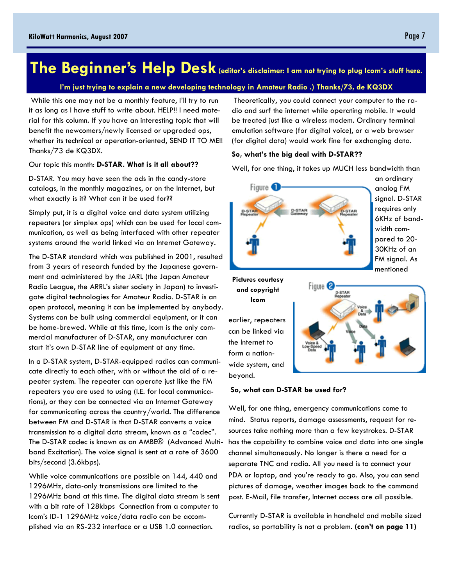# **The Beginner's Help Desk** (editor's disclaimer: I am not trying to plug Icom's stuff here.

#### **I'm just trying to explain a new developing technology in Amateur Radio .) Thanks/73, de KQ3DX**

While this one may not be a monthly feature, I'll try to run it as long as I have stuff to write about. HELP!! I need material for this column. If you have an interesting topic that will benefit the newcomers/newly licensed or upgraded ops, whether its technical or operation-oriented, SEND IT TO ME!! Thanks/73 de KQ3DX.

Our topic this month: **D-STAR. What is it all about??** 

D-STAR. You may have seen the ads in the candy-store catalogs, in the monthly magazines, or on the Internet, but what exactly is it? What can it be used for??

Simply put, it is a digital voice and data system utilizing repeaters (or simplex ops) which can be used for local communication, as well as being interfaced with other repeater systems around the world linked via an Internet Gateway.

The D-STAR standard which was published in 2001, resulted from 3 years of research funded by the Japanese government and administered by the JARL (the Japan Amateur Radio League, the ARRL's sister society in Japan) to investigate digital technologies for Amateur Radio. D-STAR is an open protocol, meaning it can be implemented by anybody. Systems can be built using commercial equipment, or it can be home-brewed. While at this time, Icom is the only commercial manufacturer of D-STAR, any manufacturer can start it's own D-STAR line of equipment at any time.

In a D-STAR system, D-STAR-equipped radios can communicate directly to each other, with or without the aid of a repeater system. The repeater can operate just like the FM repeaters you are used to using (I.E. for local communications), or they can be connected via an Internet Gateway for communicating across the country/world. The difference between FM and D-STAR is that D-STAR converts a voice transmission to a digital data stream, known as a "codec". The D-STAR codec is known as an AMBE® (Advanced Multiband Excitation). The voice signal is sent at a rate of 3600 bits/second (3.6kbps).

While voice communications are possible on 144, 440 and 1296MHz, data-only transmissions are limited to the 1296MHz band at this time. The digital data stream is sent with a bit rate of 128kbps Connection from a computer to Icom's ID-1 1296MHz voice/data radio can be accomplished via an RS-232 interface or a USB 1.0 connection.

 Theoretically, you could connect your computer to the radio and surf the internet while operating mobile. It would be treated just like a wireless modem. Ordinary terminal emulation software (for digital voice), or a web browser (for digital data) would work fine for exchanging data.

#### **So, what's the big deal with D-STAR??**

Well, for one thing, it takes up MUCH less bandwidth than



an ordinary analog FM signal. D-STAR requires only 6KHz of bandwidth compared to 20- 30KHz of an FM signal. As mentioned



earlier, repeaters can be linked via the Internet to form a nationwide system, and beyond.



#### **So, what can D-STAR be used for?**

Well, for one thing, emergency communications come to mind. Status reports, damage assessments, request for resources take nothing more than a few keystrokes. D-STAR has the capability to combine voice and data into one single channel simultaneously. No longer is there a need for a separate TNC and radio. All you need is to connect your PDA or laptop, and you're ready to go. Also, you can send pictures of damage, weather images back to the command post. E-Mail, file transfer, Internet access are all possible.

Currently D-STAR is available in handheld and mobile sized radios, so portability is not a problem. **(con't on page 11)**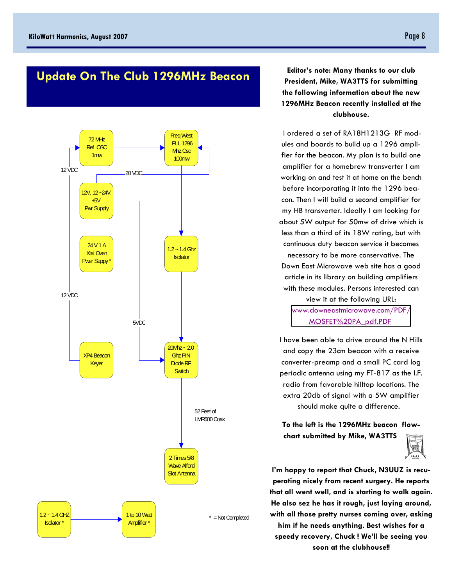## **Update On The Club 1296MHz Beacon Editor's note: Many thanks to our club**



**President, Mike, WA3TTS for submitting the following information about the new 1296MHz Beacon recently installed at the clubhouse.** 

 I ordered a set of RA18H1213G RF modules and boards to build up a 1296 amplifier for the beacon. My plan is to build one amplifier for a homebrew transverter I am working on and test it at home on the bench before incorporating it into the 1296 beacon. Then I will build a second amplifier for my HB transverter. Ideally I am looking for about 5W output for 50mw of drive which is less than a third of its 18W rating, but with continuous duty beacon service it becomes necessary to be more conservative. The Down East Microwave web site has a good article in its library on building amplifiers with these modules. Persons interested can view it at the following URL: [www.downeastmicrowave.com/PDF/](http://www.downeastmicrowave.com/PDF/MOSFET%20PA_pdf.PDF) MOSFET%20PA\_pdf.PDF

I have been able to drive around the N Hills and copy the 23cm beacon with a receive converter-preamp and a small PC card log periodic antenna using my FT-817 as the I.F. radio from favorable hilltop locations. The extra 20db of signal with a 5W amplifier should make quite a difference.

**To the left is the 1296MHz beacon flowchart submitted by Mike, WA3TTS** 



**I'm happy to report that Chuck, N3UUZ is recuperating nicely from recent surgery. He reports that all went well, and is starting to walk again. He also sez he has it rough, just laying around, with all those pretty nurses coming over, asking him if he needs anything. Best wishes for a speedy recovery, Chuck ! We'll be seeing you soon at the clubhouse!!**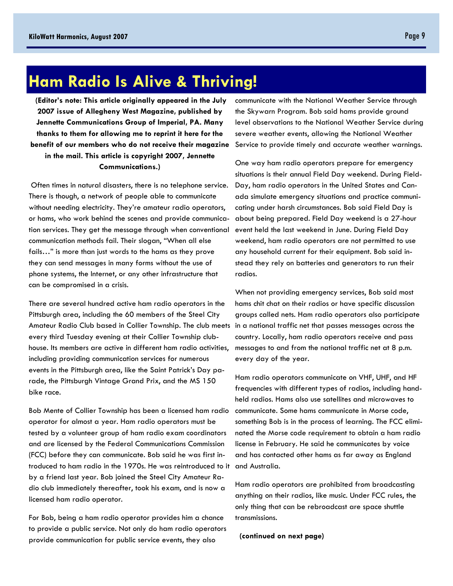# **Ham Radio Is Alive & Thriving!**

**(Editor's note: This article originally appeared in the July 2007 issue of Allegheny West Magazine, published by Jennette Communications Group of Imperial, PA. Many thanks to them for allowing me to reprint it here for the benefit of our members who do not receive their magazine in the mail. This article is copyright 2007, Jennette Communications.)** 

 Often times in natural disasters, there is no telephone service. There is though, a network of people able to communicate without needing electricity. They're amateur radio operators, or hams, who work behind the scenes and provide communication services. They get the message through when conventional communication methods fail. Their slogan, "When all else fails…" is more than just words to the hams as they prove they can send messages in many forms without the use of phone systems, the Internet, or any other infrastructure that can be compromised in a crisis.

There are several hundred active ham radio operators in the Pittsburgh area, including the 60 members of the Steel City Amateur Radio Club based in Collier Township. The club meets every third Tuesday evening at their Collier Township clubhouse. Its members are active in different ham radio activities, including providing communication services for numerous events in the Pittsburgh area, like the Saint Patrick's Day parade, the Pittsburgh Vintage Grand Prix, and the MS 150 bike race.

Bob Mente of Collier Township has been a licensed ham radio operator for almost a year. Ham radio operators must be tested by a volunteer group of ham radio exam coordinators and are licensed by the Federal Communications Commission (FCC) before they can communicate. Bob said he was first introduced to ham radio in the 1970s. He was reintroduced to it by a friend last year. Bob joined the Steel City Amateur Radio club immediately thereafter, took his exam, and is now a licensed ham radio operator.

For Bob, being a ham radio operator provides him a chance to provide a public service. Not only do ham radio operators provide communication for public service events, they also

communicate with the National Weather Service through the Skywarn Program. Bob said hams provide ground level observations to the National Weather Service during severe weather events, allowing the National Weather Service to provide timely and accurate weather warnings.

One way ham radio operators prepare for emergency situations is their annual Field Day weekend. During Field-Day, ham radio operators in the United States and Canada simulate emergency situations and practice communicating under harsh circumstances. Bob said Field Day is about being prepared. Field Day weekend is a 27-hour event held the last weekend in June. During Field Day weekend, ham radio operators are not permitted to use any household current for their equipment. Bob said instead they rely on batteries and generators to run their radios.

When not providing emergency services, Bob said most hams chit chat on their radios or have specific discussion groups called nets. Ham radio operators also participate in a national traffic net that passes messages across the country. Locally, ham radio operators receive and pass messages to and from the national traffic net at 8 p.m. every day of the year.

Ham radio operators communicate on VHF, UHF, and HF frequencies with different types of radios, including handheld radios. Hams also use satellites and microwaves to communicate. Some hams communicate in Morse code, something Bob is in the process of learning. The FCC eliminated the Morse code requirement to obtain a ham radio license in February. He said he communicates by voice and has contacted other hams as far away as England and Australia.

Ham radio operators are prohibited from broadcasting anything on their radios, like music. Under FCC rules, the only thing that can be rebroadcast are space shuttle transmissions.

 **(continued on next page)**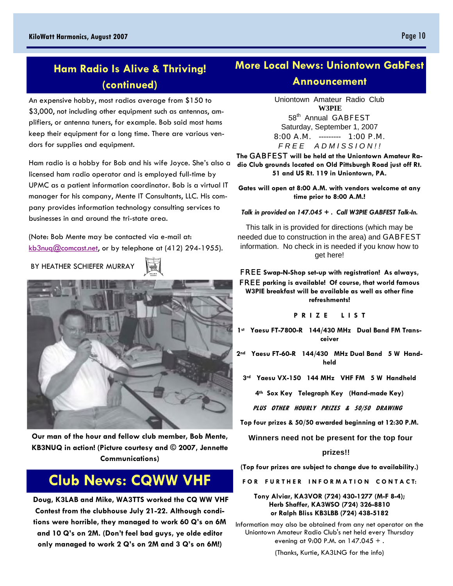### **Ham Radio Is Alive & Thriving! (continued)**

An expensive hobby, most radios average from \$150 to \$3,000, not including other equipment such as antennas, amplifiers, or antenna tuners, for example. Bob said most hams keep their equipment for a long time. There are various vendors for supplies and equipment.

Ham radio is a hobby for Bob and his wife Joyce. She's also a licensed ham radio operator and is employed full-time by UPMC as a patient information coordinator. Bob is a virtual IT manager for his company, Mente IT Consultants, LLC. His company provides information technology consulting services to businesses in and around the tri-state area.

(Note: Bob Mente may be contacted via e-mail at: kb3nuq@comcast.net, or by telephone at (412) 294-1955).

BY HEATHER SCHIEFER MURRAY



**Our man of the hour and fellow club member, Bob Mente, KB3NUQ in action! (Picture courtesy and © 2007, Jennette Communications)** 

## **Club News: CQWW VHF**

 **Doug, K3LAB and Mike, WA3TTS worked the CQ WW VHF Contest from the clubhouse July 21-22. Although conditions were horrible, they managed to work 60 Q's on 6M and 10 Q's on 2M. (Don't feel bad guys, ye olde editor only managed to work 2 Q's on 2M and 3 Q's on 6M!)** 

## **More Local News: Uniontown GabFest**

#### **Announcement**

Uniontown Amateur Radio Club **W3PIE** 58<sup>th</sup> Annual **GABFEST** Saturday, September 1, 2007

8:00 A.M. --------- 1:00 P.M.

*F R E E A D M I S S I O N ! !*

**The** GABFEST **will be held at the Uniontown Amateur Radio Club grounds located on Old Pittsburgh Road just off Rt. 51 and US Rt. 119 in Uniontown, PA.**

**Gates will open at 8:00 A.M. with vendors welcome at any time prior to 8:00 A.M.!**

*Talk in provided on 147.045 + . Call W3PIE GABFEST Talk-In.*

This talk in is provided for directions (which may be needed due to construction in the area) and GABFEST information. No check in is needed if you know how to get here!

FREE **Swap-N-Shop set-up with registration! As always,**  FREE **parking is available! Of course, that world famous W3PIE breakfast will be available as well as other fine refreshments!**

**P R I Z E L I S T**

**1st Yaesu FT-7800-R 144/430 MHz Dual Band FM Transceiver**

**2nd Yaesu FT-60-R 144/430 MHz Dual Band 5 W Handheld**

**3rd Yaesu VX-150 144 MHz VHF FM 5 W Handheld**

**4th Sox Key Telegraph Key (Hand-made Key)**

 **PLUS OTHER HOURLY PRIZES & 50/50 DRAWING**

**Top four prizes & 50/50 awarded beginning at 12:30 P.M.**

 **Winners need not be present for the top four** 

#### **prizes!!**

**(Top four prizes are subject to change due to availability.)**

**FOR FURTHER INFORMATION CONTACT:** 

#### **Tony Alviar, KA3VOR (724) 430-1277 (M-F 8-4); Herb Shaffer, KA3WSO (724) 326-8810 or Ralph Bliss KB3LBB (724) 438-5182**

Information may also be obtained from any net operator on the Uniontown Amateur Radio Club's net held every Thursday evening at 9:00 P.M. on  $147.045 +$ .

(Thanks, Kurtie, KA3LNG for the info)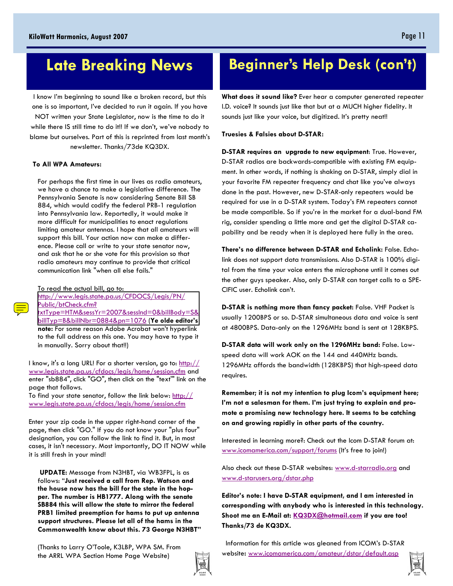# **Late Breaking News**

I know I'm beginning to sound like a broken record, but this one is so important, I've decided to run it again. If you have NOT written your State Legislator, now is the time to do it while there IS still time to do it!! If we don't, we've nobody to blame but ourselves. Part of this is reprinted from last month's newsletter. Thanks/73de KQ3DX.

#### **To All WPA Amateurs:**

For perhaps the first time in our lives as radio amateurs, we have a chance to make a legislative difference. The Pennsylvania Senate is now considering Senate Bill SB 884, which would codify the federal PRB-1 regulation into Pennsylvania law. Reportedly, it would make it more difficult for municipalities to enact regulations limiting amateur antennas. I hope that all amateurs will support this bill. Your action now can make a difference. Please call or write to your state senator now, and ask that he or she vote for this provision so that radio amateurs may continue to provide that critical communication link "when all else fails."

To read the actual bill, go to: http://www.legis.state.pa.us/CFDOCS/Legis/PN/ Public/btCheck.cfm? [txtType=HTM&sessYr=2007&sessInd=0&billBody=S&](http://www.legis.state.pa.us/cfdocs/billinfo/billinfo.cfm?syear=2007&sind=0&body=S&type=B&BN=0884) billTyp=B&billNbr=0884&pn=1076 (**Ye olde editor's note:** For some reason Adobe Acrobat won't hyperlink

to the full address on this one. You may have to type it in manually. Sorry about that!!)

I know, it's a long URL! For a shorter version, go to: http:// www.legis.state.pa.us/cfdocs/legis/home/session.cfm and enter "sb884", click "GO", then click on the "text'" link on the page that follows.

To find your state senator, follow the link below:  $\frac{http://}{http://}$ www.legis.state.pa.us/cfdocs/legis/home/session.cfm

Enter your zip code in the upper right-hand corner of the page, then click "GO." If you do not know your "plus four" designation, you can follow the link to find it. But, in most cases, it isn't necessary. Most importantly, DO IT NOW while it is still fresh in your mind!

**UPDATE:** Message from N3HBT, via WB3FPL, is as follows: "**Just received a call from Rep. Watson and the house now has the bill for the state in the hopper. The number is HB1777. Along with the senate SB884 this will allow the state to mirror the federal PRB1 limited preemption for hams to put up antenna support structures. Please let all of the hams in the Commonwealth know about this. 73 George N3HBT"** 

# **Beginner's Help Desk (con't)**

**What does it sound like?** Ever hear a computer generated repeater I.D. voice? It sounds just like that but at a MUCH higher fidelity. It sounds just like your voice, but digitized. It's pretty neat!!

**Truesies & Falsies about D-STAR:**

**D-STAR requires an upgrade to new equipment**: True. However, D-STAR radios are backwards-compatible with existing FM equipment. In other words, if nothing is shaking on D-STAR, simply dial in your favorite FM repeater frequency and chat like you've always done in the past. However, new D-STAR-only repeaters would be required for use in a D-STAR system. Today's FM repeaters cannot be made compatible. So if you're in the market for a dual-band FM rig, consider spending a little more and get the digital D-STAR capability and be ready when it is deployed here fully in the area.

**There's no difference between D-STAR and Echolink:** False. Echolink does not support data transmissions. Also D-STAR is 100% digital from the time your voice enters the microphone until it comes out the other guys speaker. Also, only D-STAR can target calls to a SPE-CIFIC user. Echolink can't.

**D-STAR is nothing more than fancy packet:** False. VHF Packet is usually 1200BPS or so. D-STAR simultaneous data and voice is sent at 4800BPS. Data-only on the 1296MHz band is sent at 128KBPS.

**D-STAR data will work only on the 1296MHz band:** False. Lowspeed data will work AOK on the 144 and 440MHz bands. 1296MHz affords the bandwidth (128KBPS) that high-speed data requires.

**Remember; it is not my intention to plug Icom's equipment here; I'm not a salesman for them. I'm just trying to explain and promote a promising new technology here. It seems to be catching on and growing rapidly in other parts of the country.** 

Interested in learning more?: Check out the Icom D-STAR forum at: www.icomamerica.com/support/forums (It's free to join!)

Also check out these D-STAR websites: www.d-starradio.org and www.d-starusers.org/dstar.php

**Editor's note: I have D-STAR equipment, and I am interested in corresponding with anybody who is interested in this technology. Shoot me an E-Mail at: KQ3DX@hotmail.com if you are too! Thanks/73 de KQ3DX.** 

Information for this article was gleaned from ICOM's D-STAR website**:** www.icomamerica.com/amateur/dstar/default.asp

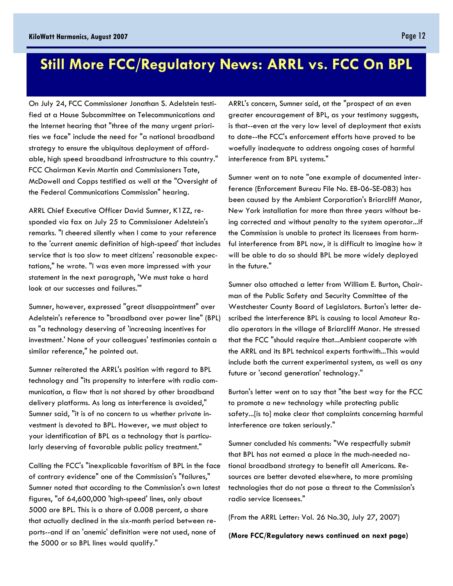## **Still More FCC/Regulatory News: ARRL vs. FCC On BPL**

On July 24, FCC Commissioner Jonathan S. Adelstein testified at a House Subcommittee on Telecommunications and the Internet hearing that "three of the many urgent priorities we face" include the need for "a national broadband strategy to ensure the ubiquitous deployment of affordable, high speed broadband infrastructure to this country." FCC Chairman Kevin Martin and Commissioners Tate, McDowell and Copps testified as well at the "Oversight of the Federal Communications Commission" hearing.

ARRL Chief Executive Officer David Sumner, K1ZZ, responded via fax on July 25 to Commissioner Adelstein's remarks. "I cheered silently when I came to your reference to the 'current anemic definition of high-speed' that includes service that is too slow to meet citizens' reasonable expectations," he wrote. "I was even more impressed with your statement in the next paragraph, 'We must take a hard look at our successes and failures.'"

Sumner, however, expressed "great disappointment" over Adelstein's reference to "broadband over power line" (BPL) as "a technology deserving of 'increasing incentives for investment.' None of your colleagues' testimonies contain a similar reference," he pointed out.

Sumner reiterated the ARRL's position with regard to BPL technology and "its propensity to interfere with radio communication, a flaw that is not shared by other broadband delivery platforms. As long as interference is avoided," Sumner said, "it is of no concern to us whether private investment is devoted to BPL. However, we must object to your identification of BPL as a technology that is particularly deserving of favorable public policy treatment."

Calling the FCC's "inexplicable favoritism of BPL in the face of contrary evidence" one of the Commission's "failures," Sumner noted that according to the Commission's own latest figures, "of 64,600,000 'high-speed' lines, only about 5000 are BPL. This is a share of 0.008 percent, a share that actually declined in the six-month period between reports--and if an 'anemic' definition were not used, none of the 5000 or so BPL lines would qualify."

ARRL's concern, Sumner said, at the "prospect of an even greater encouragement of BPL, as your testimony suggests, is that--even at the very low level of deployment that exists to date--the FCC's enforcement efforts have proved to be woefully inadequate to address ongoing cases of harmful interference from BPL systems."

Sumner went on to note "one example of documented interference (Enforcement Bureau File No. EB-06-SE-083) has been caused by the Ambient Corporation's Briarcliff Manor, New York installation for more than three years without being corrected and without penalty to the system operator...If the Commission is unable to protect its licensees from harmful interference from BPL now, it is difficult to imagine how it will be able to do so should BPL be more widely deployed in the future."

Sumner also attached a letter from William E. Burton, Chairman of the Public Safety and Security Committee of the Westchester County Board of Legislators. Burton's letter described the interference BPL is causing to local Amateur Radio operators in the village of Briarcliff Manor. He stressed that the FCC "should require that...Ambient cooperate with the ARRL and its BPL technical experts forthwith...This would include both the current experimental system, as well as any future or 'second generation' technology."

Burton's letter went on to say that "the best way for the FCC to promote a new technology while protecting public safety...[is to] make clear that complaints concerning harmful interference are taken seriously."

Sumner concluded his comments: "We respectfully submit that BPL has not earned a place in the much-needed national broadband strategy to benefit all Americans. Resources are better devoted elsewhere, to more promising technologies that do not pose a threat to the Commission's radio service licensees."

(From the ARRL Letter: Vol. 26 No.30, July 27, 2007)

**(More FCC/Regulatory news continued on next page)**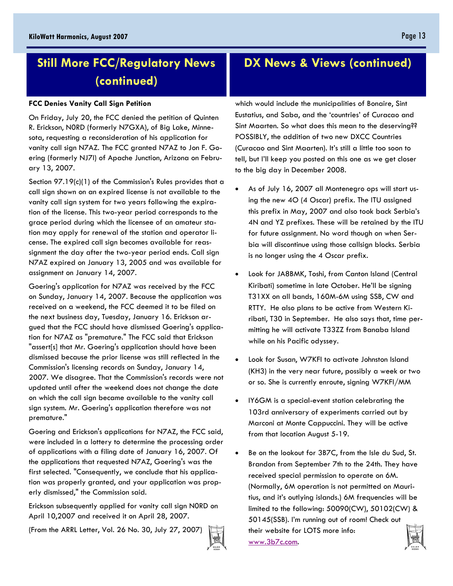## **Still More FCC/Regulatory News (continued)**

#### **FCC Denies Vanity Call Sign Petition**

On Friday, July 20, the FCC denied the petition of Quinten R. Erickson, N0RD (formerly N7GXA), of Big Lake, Minnesota, requesting a reconsideration of his application for vanity call sign N7AZ. The FCC granted N7AZ to Jon F. Goering (formerly NJ7I) of Apache Junction, Arizona on February 13, 2007.

Section 97.19(c)(1) of the Commission's Rules provides that a call sign shown on an expired license is not available to the vanity call sign system for two years following the expiration of the license. This two-year period corresponds to the grace period during which the licensee of an amateur station may apply for renewal of the station and operator license. The expired call sign becomes available for reassignment the day after the two-year period ends. Call sign N7AZ expired on January 13, 2005 and was available for assignment on January 14, 2007.

Goering's application for N7AZ was received by the FCC on Sunday, January 14, 2007. Because the application was received on a weekend, the FCC deemed it to be filed on the next business day, Tuesday, January 16. Erickson argued that the FCC should have dismissed Goering's application for N7AZ as "premature." The FCC said that Erickson "assert[s] that Mr. Goering's application should have been dismissed because the prior license was still reflected in the Commission's licensing records on Sunday, January 14, 2007. We disagree. That the Commission's records were not updated until after the weekend does not change the date on which the call sign became available to the vanity call sign system. Mr. Goering's application therefore was not premature."

Goering and Erickson's applications for N7AZ, the FCC said, were included in a lottery to determine the processing order of applications with a filing date of January 16, 2007. Of the applications that requested N7AZ, Goering's was the first selected. "Consequently, we conclude that his application was properly granted, and your application was properly dismissed," the Commission said.

Erickson subsequently applied for vanity call sign N0RD on April 10,2007 and received it on April 28, 2007.

(From the ARRL Letter, Vol. 26 No. 30, July 27, 2007)



### **DX News & Views (continued)**

which would include the municipalities of Bonaire, Sint Eustatius, and Saba, and the 'countries' of Curacao and Sint Maarten. So what does this mean to the deserving?? POSSIBLY, the addition of two new DXCC Countries (Curacao and Sint Maarten). It's still a little too soon to tell, but I'll keep you posted on this one as we get closer to the big day in December 2008.

- As of July 16, 2007 all Montenegro ops will start using the new 4O (4 Oscar) prefix. The ITU assigned this prefix in May, 2007 and also took back Serbia's 4N and YZ prefixes. These will be retained by the ITU for future assignment. No word though on when Serbia will discontinue using those callsign blocks. Serbia is no longer using the 4 Oscar prefix.
- Look for JA8BMK, Toshi, from Canton Island (Central Kiribati) sometime in late October. He'll be signing T31XX on all bands, 160M-6M using SSB, CW and RTTY. He also plans to be active from Western Kiribati, T30 in September. He also says that, time permitting he will activate T33ZZ from Banaba Island while on his Pacific odyssey.
- Look for Susan, W7KFI to activate Johnston Island (KH3) in the very near future, possibly a week or two or so. She is currently enroute, signing W7KFI/MM
- IY6GM is a special-event station celebrating the 103rd anniversary of experiments carried out by Marconi at Monte Cappuccini. They will be active from that location August 5-19.
- Be on the lookout for 3B7C, from the Isle du Sud, St. Brandon from September 7th to the 24th. They have received special permission to operate on 6M. (Normally, 6M operation is not permitted on Mauritius, and it's outlying islands.) 6M frequencies will be limited to the following: 50090(CW), 50102(CW) & 50145(SSB). I'm running out of room! Check out their website for LOTS more info: www.3b7c.com.

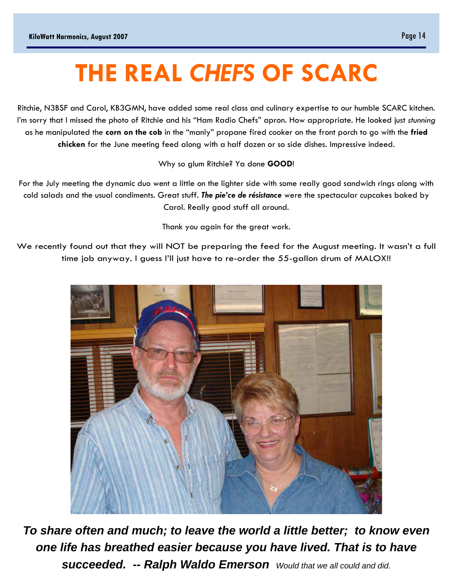# **THE REAL** *CHEFS* **OF SCARC**

Ritchie, N3BSF and Carol, KB3GMN, have added some real class and culinary expertise to our humble SCARC kitchen. I'm sorry that I missed the photo of Ritchie and his "Ham Radio Chefs" apron. How appropriate. He looked just *stunning* as he manipulated the **corn on the cob** in the "manly" propane fired cooker on the front porch to go with the **fried chicken** for the June meeting feed along with a half dozen or so side dishes. Impressive indeed.

Why so glum Ritchie? Ya done **GOOD**!

For the July meeting the dynamic duo went a little on the lighter side with some really good sandwich rings along with cold salads and the usual condiments. Great stuff. *The pie'ce de résistance* were the spectacular cupcakes baked by Carol. Really good stuff all around.

Thank you again for the great work.

We recently found out that they will NOT be preparing the feed for the August meeting. It wasn't a full time job anyway. I guess I'll just have to re-order the 55-gallon drum of MALOX!!



*To share often and much; to leave the world a little better; to know even one life has breathed easier because you have lived. That is to have succeeded. -- Ralph Waldo Emerson Would that we all could and did.*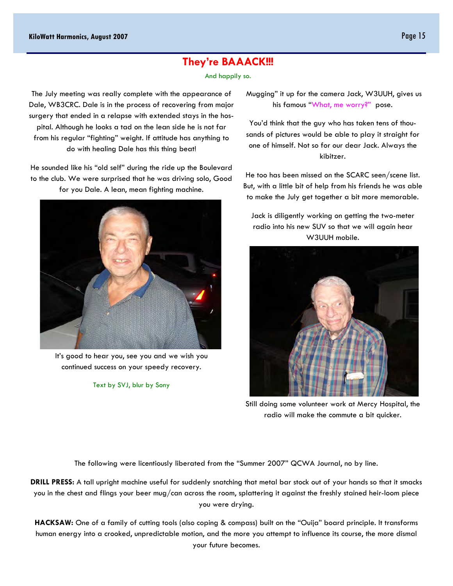### **They're BAAACK!!!**

#### And happily so.

The July meeting was really complete with the appearance of Dale, WB3CRC. Dale is in the process of recovering from major surgery that ended in a relapse with extended stays in the hospital. Although he looks a tad on the lean side he is not far from his regular "fighting" weight. If attitude has anything to do with healing Dale has this thing beat!

He sounded like his "old self" during the ride up the Boulevard to the club. We were surprised that he was driving solo, Good for you Dale. A lean, mean fighting machine.



It's good to hear you, see you and we wish you continued success on your speedy recovery.

Text by SVJ, blur by Sony

 Mugging" it up for the camera Jack, W3UUH, gives us his famous "What, me worry?" pose.

You'd think that the guy who has taken tens of thousands of pictures would be able to play it straight for one of himself. Not so for our dear Jack. Always the kibitzer.

He too has been missed on the SCARC seen/scene list. But, with a little bit of help from his friends he was able to make the July get together a bit more memorable.

Jack is diligently working on getting the two-meter radio into his new SUV so that we will again hear W3UUH mobile.



Still doing some volunteer work at Mercy Hospital, the radio will make the commute a bit quicker.

The following were licentiously liberated from the "Summer 2007" QCWA Journal, no by line.

**DRILL PRESS:** A tall upright machine useful for suddenly snatching that metal bar stock out of your hands so that it smacks you in the chest and flings your beer mug/can across the room, splattering it against the freshly stained heir-loom piece you were drying.

**HACKSAW:** One of a family of cutting tools (also coping & compass) built on the "Ouija" board principle. It transforms human energy into a crooked, unpredictable motion, and the more you attempt to influence its course, the more dismal your future becomes.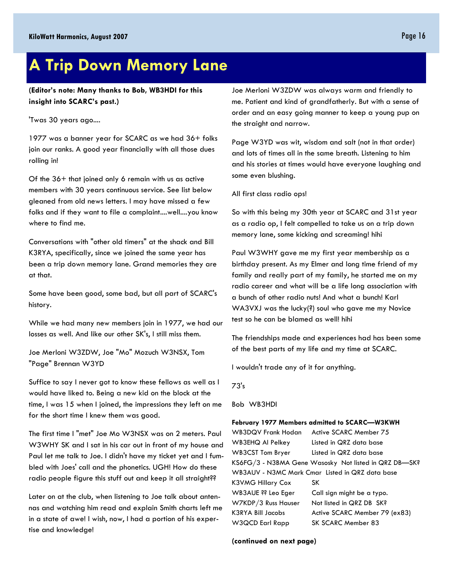## **A Trip Down Memory Lane**

**(Editor's note: Many thanks to Bob, WB3HDI for this insight into SCARC's past.)** 

'Twas 30 years ago....

1977 was a banner year for SCARC as we had 36+ folks join our ranks. A good year financially with all those dues rolling in!

Of the 36+ that joined only 6 remain with us as active members with 30 years continuous service. See list below gleaned from old news letters. I may have missed a few folks and if they want to file a complaint....well....you know where to find me.

Conversations with "other old timers" at the shack and Bill K3RYA, specifically, since we joined the same year has been a trip down memory lane. Grand memories they are at that.

Some have been good, some bad, but all part of SCARC's history.

While we had many new members join in 1977, we had our losses as well. And like our other SK's, I still miss them.

Joe Merloni W3ZDW, Joe "Mo" Mozuch W3NSX, Tom "Page" Brennan W3YD

Suffice to say I never got to know these fellows as well as I would have liked to. Being a new kid on the block at the time, I was 15 when I joined, the impressions they left on me for the short time I knew them was good.

The first time I "met" Joe Mo W3NSX was on 2 meters. Paul W3WHY SK and I sat in his car out in front of my house and Paul let me talk to Joe. I didn't have my ticket yet and I fumbled with Joes' call and the phonetics. UGH! How do these radio people figure this stuff out and keep it all straight??

Later on at the club, when listening to Joe talk about antennas and watching him read and explain Smith charts left me in a state of awe! I wish, now, I had a portion of his expertise and knowledge!

Joe Merloni W3ZDW was always warm and friendly to me. Patient and kind of grandfatherly. But with a sense of order and an easy going manner to keep a young pup on the straight and narrow.

Page W3YD was wit, wisdom and salt (not in that order) and lots of times all in the same breath. Listening to him and his stories at times would have everyone laughing and some even blushing.

All first class radio ops!

So with this being my 30th year at SCARC and 31st year as a radio op, I felt compelled to take us on a trip down memory lane, some kicking and screaming! hihi

Paul W3WHY gave me my first year membership as a birthday present. As my Elmer and long time friend of my family and really part of my family, he started me on my radio career and what will be a life long association with a bunch of other radio nuts! And what a bunch! Karl WA3VXJ was the lucky(?) soul who gave me my Novice test so he can be blamed as well! hihi

The friendships made and experiences had has been some of the best parts of my life and my time at SCARC.

I wouldn't trade any of it for anything.

73's

Bob WB3HDI

#### **February 1977 Members admitted to SCARC—W3KWH**

WB3DQV Frank Hodan Active SCARC Member 75 WB3EHQ Al Pelkey Listed in QRZ data base WB3CST Tom Bryer Listed in QRZ data base KS6FG/3 - N3BMA Gene Wasosky Not listed in QRZ DB—SK? WB3AUV - N3MC Mark Cmar Listed in QRZ data base K3VMG Hillary Cox SK WB3AUE ?? Leo Eger Call sign might be a typo. W7KDP/3 Russ Hauser Not listed in QRZ DB SK? K3RYA Bill Jacobs Active SCARC Member 79 (ex83) W3QCD Earl Rapp SK SCARC Member 83

**(continued on next page)**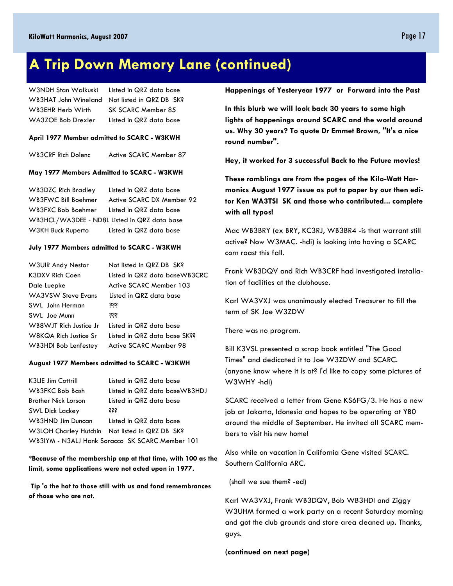### **A Trip Down Memory Lane (continued)**

| W3NDH Stan Walkuski | Listed in QRZ data base                       |  |  |  |
|---------------------|-----------------------------------------------|--|--|--|
|                     | WB3HAT John Wineland Not listed in QRZ DB SK? |  |  |  |
| WB3EHR Herb Wirth   | SK SCARC Member 85                            |  |  |  |
| WA3ZOE Bob Drexler  | Listed in QRZ data base                       |  |  |  |

#### **April 1977 Member admitted to SCARC - W3KWH**

WB3CRF Rich Dolenc Active SCARC Member 87

#### **May 1977 Members Admitted to SCARC - W3KWH**

| <b>WB3DZC Rich Bradley</b>                   | Listed in QRZ data base   |  |  |  |
|----------------------------------------------|---------------------------|--|--|--|
| WB3FWC Bill Boehmer                          | Active SCARC DX Member 92 |  |  |  |
| WB3FXC Bob Boehmer                           | Listed in QRZ data base   |  |  |  |
| WB3HCL/WA3DEE - ND8L Listed in QRZ data base |                           |  |  |  |
| W3KH Buck Ruperto                            | Listed in QRZ data base   |  |  |  |

#### **July 1977 Members admitted to SCARC - W3KWH**

| <b>W3UIR Andy Nestor</b>    | Not listed in QRZ DB SK?      |
|-----------------------------|-------------------------------|
| K3DXV Rich Coen             | Listed in QRZ data baseWB3CRC |
| Dale Luepke                 | Active SCARC Member 103       |
| <b>WA3VSW Steve Evans</b>   | Listed in QRZ data base       |
| SWL John Herman             | <b>śśś</b>                    |
| SWL Joe Munn                | <b>ŠŠŠ</b>                    |
| WB8WJT Rich Justice Jr      | Listed in QRZ data base       |
| W8KQA Rich Justice Sr       | Listed in QRZ data base SK??  |
| <b>WB3HDI Bob Lenfestey</b> | Active SCARC Member 98        |

#### **August 1977 Members admitted to SCARC - W3KWH**

| <b>K3LIE Jim Cottrill</b>                       | Listed in QRZ data base                        |  |  |  |
|-------------------------------------------------|------------------------------------------------|--|--|--|
| WB3FKC Bob Bash                                 | Listed in QRZ data baseWB3HDJ                  |  |  |  |
| <b>Brother Nick Lorson</b>                      | Listed in QRZ data base                        |  |  |  |
| <b>SWL Dick Lackey</b>                          | <b>SSS</b>                                     |  |  |  |
| <b>WB3HND Jim Duncan</b>                        | Listed in QRZ data base                        |  |  |  |
|                                                 | W3LOH Charley Hutchin Not listed in QRZ DB SK? |  |  |  |
| WB3IYM - N3ALJ Hank Soracco SK SCARC Member 101 |                                                |  |  |  |

#### **\*Because of the membership cap at that time, with 100 as the limit, some applications were not acted upon in 1977.**

 **Tip 'o the hat to those still with us and fond remembrances of those who are not.** 

#### **Happenings of Yesteryear 1977 or Forward into the Past**

**In this blurb we will look back 30 years to some high lights of happenings around SCARC and the world around us. Why 30 years? To quote Dr Emmet Brown, "It's a nice round number".** 

**Hey, it worked for 3 successful Back to the Future movies!** 

**These ramblings are from the pages of the Kilo-Watt Harmonics August 1977 issue as put to paper by our then editor Ken WA3TSI SK and those who contributed... complete with all typos!** 

Mac WB3BRY (ex BRY, KC3RJ, WB3BR4 -is that warrant still active? Now W3MAC. -hdi) is looking into having a SCARC corn roast this fall.

Frank WB3DQV and Rich WB3CRF had investigated installation of facilities at the clubhouse.

Karl WA3VXJ was unanimously elected Treasurer to fill the term of SK Joe W3ZDW

There was no program.

Bill K3VSL presented a scrap book entitled "The Good Times" and dedicated it to Joe W3ZDW and SCARC. (anyone know where it is at? I'd like to copy some pictures of W3WHY -hdi)

SCARC received a letter from Gene KS6FG/3. He has a new job at Jakarta, Idonesia and hopes to be operating at YB0 around the middle of September. He invited all SCARC members to visit his new home!

Also while on vacation in California Gene visited SCARC. Southern California ARC.

(shall we sue them? -ed)

Karl WA3VXJ, Frank WB3DQV, Bob WB3HDI and Ziggy W3UHM formed a work party on a recent Saturday morning and got the club grounds and store area cleaned up. Thanks, guys.

**(continued on next page)**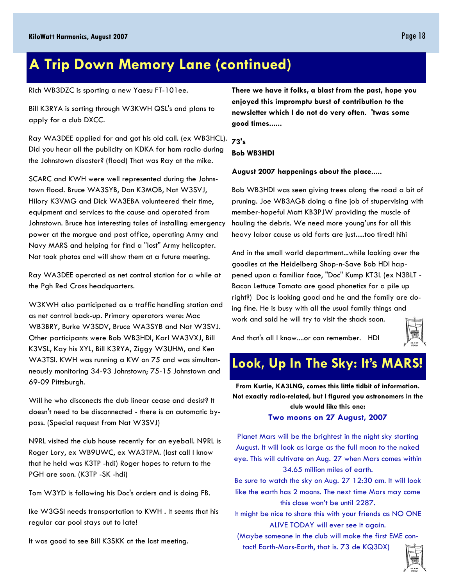## **A Trip Down Memory Lane (continued)**

Rich WB3DZC is sporting a new Yaesu FT-101ee.

Bill K3RYA is sorting through W3KWH QSL's and plans to apply for a club DXCC.

Ray WA3DEE applied for and got his old call. (ex WB3HCL). Did you hear all the publicity on KDKA for ham radio during the Johnstown disaster? (flood) That was Ray at the mike.

SCARC and KWH were well represented during the Johnstown flood. Bruce WA3SYB, Dan K3MOB, Nat W3SVJ, Hilory K3VMG and Dick WA3EBA volunteered their time, equipment and services to the cause and operated from Johnstown. Bruce has interesting tales of installing emergency power at the morgue and post office, operating Army and Navy MARS and helping for find a "lost" Army helicopter. Nat took photos and will show them at a future meeting.

Ray WA3DEE operated as net control station for a while at the Pgh Red Cross headquarters.

W3KWH also participated as a traffic handling station and as net control back-up. Primary operators were: Mac WB3BRY, Burke W3SDV, Bruce WA3SYB and Nat W3SVJ. Other participants were Bob WB3HDI, Karl WA3VXJ, Bill K3VSL, Kay his XYL, Bill K3RYA, Ziggy W3UHM, and Ken WA3TSI. KWH was running a KW on 75 and was simultanneously monitoring 34-93 Johnstown; 75-15 Johnstown and 69-09 Pittsburgh.

Will he who disconects the club linear cease and desist? It doesn't need to be disconnected - there is an automatic bypass. (Special request from Nat W3SVJ)

N9RL visited the club house recently for an eyeball. N9RL is Roger Lory, ex WB9UWC, ex WA3TPM. (last call I know that he held was K3TP -hdi) Roger hopes to return to the PGH are soon. (K3TP -SK -hdi)

Tom W3YD is following his Doc's orders and is doing FB.

Ike W3GSI needs transportation to KWH . It seems that his regular car pool stays out to late!

It was good to see Bill K3SKK at the last meeting.

**There we have it folks, a blast from the past, hope you enjoyed this impromptu burst of contribution to the newsletter which I do not do very often. 'twas some good times......** 

**73's Bob WB3HDI** 

**August 2007 happenings about the place.....**

Bob WB3HDI was seen giving trees along the road a bit of pruning. Joe WB3AGB doing a fine job of stupervising with member-hopeful Matt KB3PJW providing the muscle of hauling the debris. We need more young'uns for all this heavy labor cause us old farts are just.....too tired! hihi

And in the small world department...while looking over the goodies at the Heidelberg Shop-n-Save Bob HDI happened upon a familiar face, "Doc" Kump KT3L (ex N3BLT - Bacon Lettuce Tomato are good phonetics for a pile up right?) Doc is looking good and he and the family are doing fine. He is busy with all the usual family things and work and said he will try to visit the shack soon.

And that's all I know....or can remember. HDI



## **Look, Up In The Sky: It's MARS!**

**From Kurtie, KA3LNG, comes this little tidbit of information. Not exactly radio-related, but I figured you astronomers in the club would like this one:** 

#### **Two moons on 27 August, 2007**

Planet Mars will be the brightest in the night sky starting August. It will look as large as the full moon to the naked eye. This will cultivate on Aug. 27 when Mars comes within 34.65 million miles of earth.

Be sure to watch the sky on Aug. 27 12:30 am. It will look like the earth has 2 moons. The next time Mars may come this close won't be until 2287.

It might be nice to share this with your friends as NO ONE ALIVE TODAY will ever see it again.

(Maybe someone in the club will make the first EME contact! Earth-Mars-Earth, that is. 73 de KQ3DX)

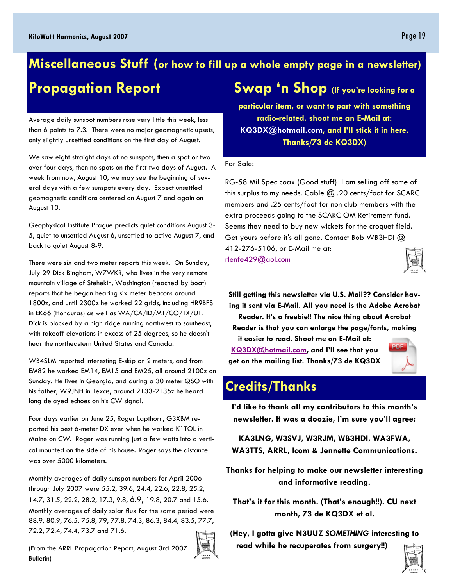### **Swap 'n Shop (If you're looking for a Miscellaneous Stuff (or how to fill up a whole empty page in a newsletter) Propagation Report**

Average daily sunspot numbers rose very little this week, less than 6 points to 7.3. There were no major geomagnetic upsets, only slightly unsettled conditions on the first day of August.

We saw eight straight days of no sunspots, then a spot or two over four days, then no spots on the first two days of August. A week from now, August 10, we may see the beginning of several days with a few sunspots every day. Expect unsettled geomagnetic conditions centered on August 7 and again on August 10.

Geophysical Institute Prague predicts quiet conditions August 3- 5, quiet to unsettled August 6, unsettled to active August 7, and back to quiet August 8-9.

There were six and two meter reports this week. On Sunday, July 29 Dick Bingham, W7WKR, who lives in the very remote mountain village of Stehekin, Washington (reached by boat) reports that he began hearing six meter beacons around 1800z, and until 2300z he worked 22 grids, including HR9BFS in EK66 (Honduras) as well as WA/CA/ID/MT/CO/TX/UT. Dick is blocked by a high ridge running northwest to southeast, with takeoff elevations in excess of 25 degrees, so he doesn't hear the northeastern United States and Canada.

WB4SLM reported interesting E-skip on 2 meters, and from EM82 he worked EM14, EM15 and EM25, all around 2100z on Sunday. He lives in Georgia, and during a 30 meter QSO with his father, W9JNH in Texas, around 2133-2135z he heard long delayed echoes on his CW signal.

Four days earlier on June 25, Roger Lapthorn, G3XBM reported his best 6-meter DX ever when he worked K1TOL in Maine on CW. Roger was running just a few watts into a vertical mounted on the side of his house. Roger says the distance was over 5000 kilometers.

Monthly averages of daily sunspot numbers for April 2006 through July 2007 were 55.2, 39.6, 24.4, 22.6, 22.8, 25.2, 14.7, 31.5, 22.2, 28.2, 17.3, 9.8, 6.9, 19.8, 20.7 and 15.6. Monthly averages of daily solar flux for the same period were 88.9, 80.9, 76.5, 75.8, 79, 77.8, 74.3, 86.3, 84.4, 83.5, 77.7, 72.2, 72.4, 74.4, 73.7 and 71.6.

(From the ARRL Propagation Report, August 3rd 2007 Bulletin)



**particular item, or want to part with something radio-related, shoot me an E-Mail at: KQ3DX@hotmail.com, and I'll stick it in here. Thanks/73 de KQ3DX)** 

#### For Sale:

RG-58 Mil Spec coax (Good stuff) I am selling off some of this surplus to my needs. Cable  $\omega$  .20 cents/foot for SCARC members and .25 cents/foot for non club members with the extra proceeds going to the SCARC OM Retirement fund. Seems they need to buy new wickets for the croquet field. Get yours before it's all gone. Contact Bob WB3HDI @ 412-276-5106, or E-Mail me at: rlenfe429@aol.com



**Still getting this newsletter via U.S. Mail?? Consider having it sent via E-Mail. All you need is the Adobe Acrobat Reader. It's a freebie!! The nice thing about Acrobat Reader is that you can enlarge the page/fonts, making it easier to read. Shoot me an E-Mail at:** 

**KQ3DX@hotmail.com, and I'll see that you get on the mailing list. Thanks/73 de KQ3DX** 



### **Credits/Thanks**

**I'd like to thank all my contributors to this month's newsletter. It was a doozie, I'm sure you'll agree:** 

**KA3LNG, W3SVJ, W3RJM, WB3HDI, WA3FWA, WA3TTS, ARRL, Icom & Jennette Communications.** 

**Thanks for helping to make our newsletter interesting and informative reading.** 

**That's it for this month. (That's enough!!). CU next month, 73 de KQ3DX et al.** 

**(Hey, I gotta give N3UUZ** *SOMETHING* **interesting to read while he recuperates from surgery!!)** 

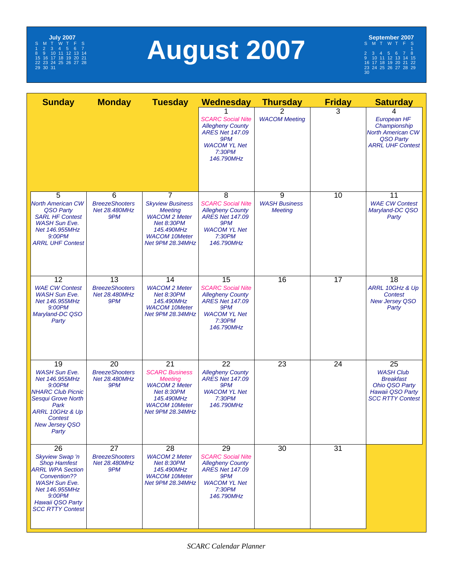

# **August 2007**

**September 2007** S MT WT F S 1 2345678 9 10 11 12 13 14 15 16 17 18 19 20 21 22 23 24 25 26 27 28 29 30

| <b>Sunday</b>                                                                                                                                                                                     | <b>Monday</b>                                                    | <b>Tuesday</b>                                                                                                                                                     | Wednesday                                                                                                                                 | <b>Thursday</b>                             | <b>Friday</b>   | <b>Saturday</b>                                                                                             |
|---------------------------------------------------------------------------------------------------------------------------------------------------------------------------------------------------|------------------------------------------------------------------|--------------------------------------------------------------------------------------------------------------------------------------------------------------------|-------------------------------------------------------------------------------------------------------------------------------------------|---------------------------------------------|-----------------|-------------------------------------------------------------------------------------------------------------|
|                                                                                                                                                                                                   |                                                                  |                                                                                                                                                                    | <b>SCARC Social Nite</b><br><b>Allegheny County</b><br><b>ARES Net 147.09</b><br>9PM<br><b>WACOM YL Net</b><br>7:30PM<br>146.790MHz       | <b>WACOM Meeting</b>                        | 3               | 4<br>European HF<br>Championship<br><b>North American CW</b><br>QSO Party<br><b>ARRL UHF Contest</b>        |
| 5<br><b>North American CW</b><br>QSO Party<br><b>SARL HF Contest</b><br><b>WASH Sun Eve.</b><br>Net 146.955MHz<br>9:00PM<br><b>ARRL UHF Contest</b>                                               | 6<br><b>BreezeShooters</b><br>Net 28.480MHz<br>9PM               | $\overline{7}$<br><b>Skyview Business</b><br><b>Meeting</b><br><b>WACOM 2 Meter</b><br><b>Net 8:30PM</b><br>145.490MHz<br><b>WACOM 10Meter</b><br>Net 9PM 28.34MHz | 8<br><b>SCARC Social Nite</b><br><b>Allegheny County</b><br><b>ARES Net 147.09</b><br>9PM<br><b>WACOM YL Net</b><br>7:30PM<br>146.790MHz  | 9<br><b>WASH Business</b><br><b>Meeting</b> | 10              | 11<br><b>WAE CW Contest</b><br>Maryland-DC QSO<br>Party                                                     |
| $\overline{12}$<br><b>WAE CW Contest</b><br><b>WASH Sun Eve.</b><br>Net 146.955MHz<br>9:00PM<br>Maryland-DC QSO<br>Party                                                                          | 13<br><b>BreezeShooters</b><br>Net 28.480MHz<br>9PM              | 14<br><b>WACOM 2 Meter</b><br><b>Net 8:30PM</b><br>145.490MHz<br><b>WACOM 10Meter</b><br>Net 9PM 28.34MHz                                                          | 15<br><b>SCARC Social Nite</b><br><b>Allegheny County</b><br><b>ARES Net 147.09</b><br>9PM<br><b>WACOM YL Net</b><br>7:30PM<br>146.790MHz | 16                                          | 17              | 18<br>ARRL 10GHz & Up<br>Contest<br><b>New Jersey QSO</b><br>Party                                          |
| 19<br><b>WASH Sun Eve.</b><br>Net 146.955MHz<br>9:00PM<br><b>NHARC Club Picnic</b><br>Sesqui Grove North<br>Park<br>ARRL 10GHz & Up<br>Contest<br><b>New Jersey QSO</b><br>Party                  | 20<br><b>BreezeShooters</b><br>Net 28.480MHz<br>9PM              | $\overline{21}$<br><b>SCARC Business</b><br><b>Meeting</b><br><b>WACOM 2 Meter</b><br><b>Net 8:30PM</b><br>145.490MHz<br><b>WACOM 10Meter</b><br>Net 9PM 28.34MHz  | 22<br><b>Allegheny County</b><br><b>ARES Net 147.09</b><br>9PM<br><b>WACOM YL Net</b><br>7:30PM<br>146.790MHz                             | 23                                          | 24              | 25<br><b>WASH Club</b><br><b>Breakfast</b><br>Ohio QSO Party<br>Hawaii QSO Party<br><b>SCC RTTY Contest</b> |
| 26<br><b>Skyview Swap 'n</b><br><b>Shop Hamfest</b><br><b>ARRL WPA Section</b><br>Convention??<br><b>WASH Sun Eve.</b><br>Net 146.955MHz<br>9:00PM<br>Hawaii QSO Party<br><b>SCC RTTY Contest</b> | $\overline{27}$<br><b>BreezeShooters</b><br>Net 28.480MHz<br>9PM | $\overline{28}$<br><b>WACOM 2 Meter</b><br><b>Net 8:30PM</b><br>145.490MHz<br><b>WACOM 10Meter</b><br>Net 9PM 28.34MHz                                             | 29<br><b>SCARC Social Nite</b><br><b>Allegheny County</b><br><b>ARES Net 147.09</b><br>9PM<br><b>WACOM YL Net</b><br>7:30PM<br>146.790MHz | 30                                          | $\overline{31}$ |                                                                                                             |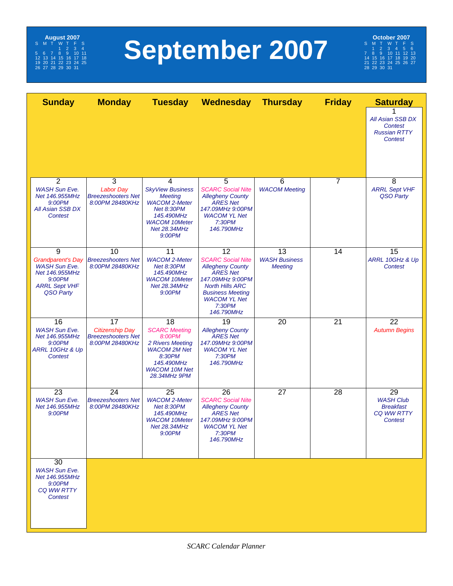

# **September 2007**

# **October 2007**<br>
S M T W T F S<br>
7 8 9 10 11 12 13<br>
7 8 9 10 11 12 13<br>
21 22 32 32 4 25 26 27<br>
22 23 30 31

| <b>Sunday</b>                                                                                                          | <b>Monday</b>                                                                | <b>Tuesday</b>                                                                                                                                              | Wednesday                                                                                                                                                                                                         | <b>Thursday</b>                              | <b>Friday</b>  | <b>Saturday</b>                                                                   |
|------------------------------------------------------------------------------------------------------------------------|------------------------------------------------------------------------------|-------------------------------------------------------------------------------------------------------------------------------------------------------------|-------------------------------------------------------------------------------------------------------------------------------------------------------------------------------------------------------------------|----------------------------------------------|----------------|-----------------------------------------------------------------------------------|
|                                                                                                                        |                                                                              |                                                                                                                                                             |                                                                                                                                                                                                                   |                                              |                | All Asian SSB DX<br>Contest<br><b>Russian RTTY</b><br>Contest                     |
|                                                                                                                        |                                                                              |                                                                                                                                                             |                                                                                                                                                                                                                   |                                              |                |                                                                                   |
| $\overline{2}$<br><b>WASH Sun Eve.</b><br>Net 146.955MHz<br>9:00PM<br><b>All Asian SSB DX</b><br>Contest               | 3<br><b>Labor Day</b><br><b>Breezeshooters Net</b><br>8:00PM 28480KHz        | 4<br><b>SkyView Business</b><br><b>Meeting</b><br><b>WACOM 2-Meter</b><br><b>Net 8:30PM</b><br>145.490MHz<br><b>WACOM 10Meter</b><br>Net 28.34MHz<br>9:00PM | 5<br><b>SCARC Social Nite</b><br><b>Allegheny County</b><br><b>ARES Net</b><br>147.09MHz 9:00PM<br><b>WACOM YL Net</b><br>7:30PM<br>146.790MHz                                                                    | 6<br><b>WACOM Meeting</b>                    | $\overline{7}$ | 8<br><b>ARRL Sept VHF</b><br>QSO Party                                            |
| 9<br><b>Grandparent's Day</b><br><b>WASH Sun Eve.</b><br>Net 146.955MHz<br>9:00PM<br><b>ARRL Sept VHF</b><br>QSO Party | 10<br><b>Breezeshooters Net</b><br>8:00PM 28480KHz                           | 11<br><b>WACOM 2-Meter</b><br><b>Net 8:30PM</b><br>145.490MHz<br><b>WACOM 10Meter</b><br><b>Net 28.34MHz</b><br>9:00PM                                      | $\overline{12}$<br><b>SCARC Social Nite</b><br><b>Allegheny County</b><br><b>ARES Net</b><br>147.09MHz 9:00PM<br><b>North Hills ARC</b><br><b>Business Meeting</b><br><b>WACOM YL Net</b><br>7:30PM<br>146.790MHz | 13<br><b>WASH Business</b><br><b>Meeting</b> | 14             | 15<br>ARRL 10GHz & Up<br>Contest                                                  |
| 16<br><b>WASH Sun Eve.</b><br>Net 146.955MHz<br>9:00PM<br>ARRL 10GHz & Up<br>Contest                                   | 17<br><b>Citizenship Day</b><br><b>Breezeshooters Net</b><br>8:00PM 28480KHz | 18<br><b>SCARC Meeting</b><br>8:00PM<br>2 Rivers Meeting<br><b>WACOM 2M Net</b><br>8:30PM<br>145.490MHz<br><b>WACOM 10M Net</b><br>28.34MHz 9PM             | 19<br><b>Allegheny County</b><br><b>ARES Net</b><br>147.09MHz 9:00PM<br><b>WACOM YL Net</b><br>7:30PM<br>146.790MHz                                                                                               | 20                                           | 21             | 22<br><b>Autumn Begins</b>                                                        |
| 23<br><b>WASH Sun Eve.</b><br>Net 146.955MHz<br>9:00PM                                                                 | 24<br><b>Breezeshooters Net</b><br>8:00PM 28480KHz                           | 25<br><b>WACOM 2-Meter</b><br><b>Net 8:30PM</b><br>145.490MHz<br><b>WACOM 10Meter</b><br><b>Net 28.34MHz</b><br>9:00PM                                      | 26<br><b>SCARC Social Nite</b><br><b>Allegheny County</b><br><b>ARES Net</b><br>147.09MHz 9:00PM<br><b>WACOM YL Net</b><br>7:30PM<br>146.790MHz                                                                   | 27                                           | 28             | 29<br><b>WASH Club</b><br><b>Breakfast</b><br><b>CQ WW RTTY</b><br><b>Contest</b> |
| 30<br><b>WASH Sun Eve.</b><br>Net 146.955MHz<br>9:00PM<br><b>CQ WW RTTY</b><br><b>Contest</b>                          |                                                                              |                                                                                                                                                             |                                                                                                                                                                                                                   |                                              |                |                                                                                   |